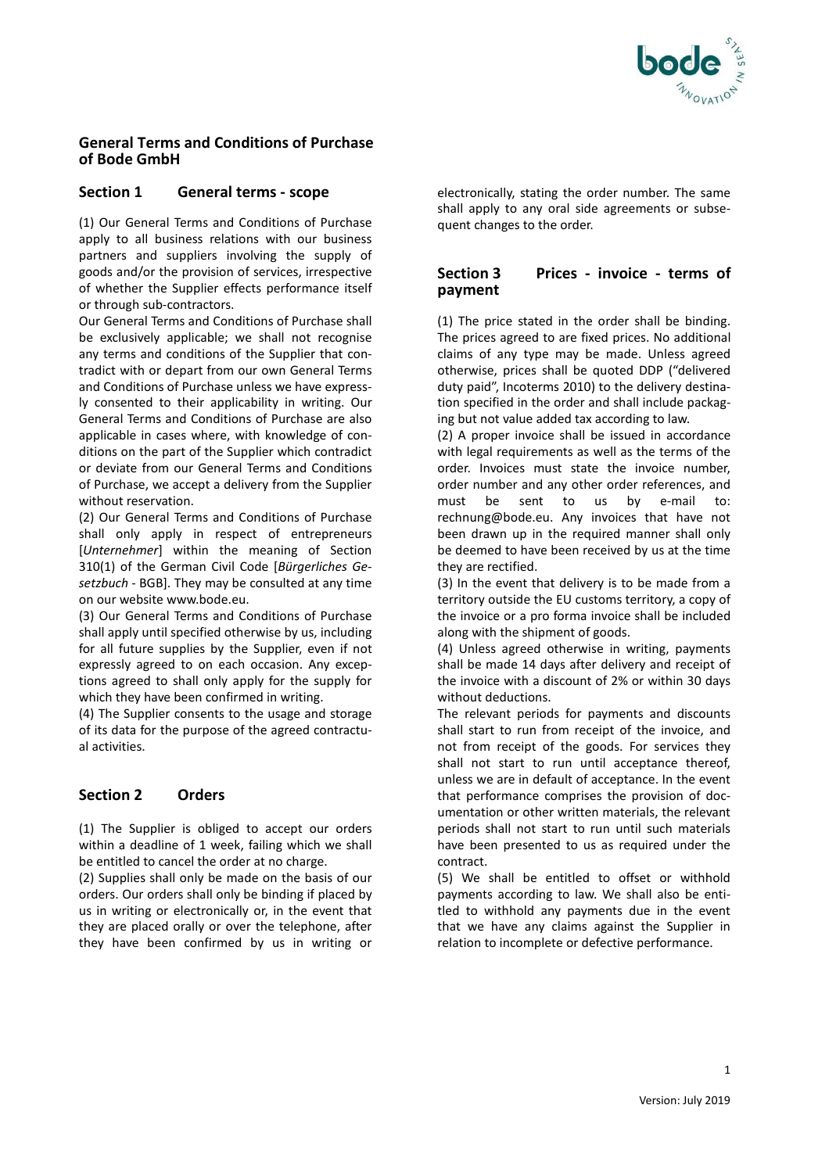

## **General Terms and Conditions of Purchase of Bode GmbH**

## **Section 1 General terms - scope**

(1) Our General Terms and Conditions of Purchase apply to all business relations with our business partners and suppliers involving the supply of goods and/or the provision of services, irrespective of whether the Supplier effects performance itself or through sub-contractors.

Our General Terms and Conditions of Purchase shall be exclusively applicable; we shall not recognise any terms and conditions of the Supplier that contradict with or depart from our own General Terms and Conditions of Purchase unless we have expressly consented to their applicability in writing. Our General Terms and Conditions of Purchase are also applicable in cases where, with knowledge of conditions on the part of the Supplier which contradict or deviate from our General Terms and Conditions of Purchase, we accept a delivery from the Supplier without reservation.

(2) Our General Terms and Conditions of Purchase shall only apply in respect of entrepreneurs [*Unternehmer*] within the meaning of Section 310(1) of the German Civil Code [*Bürgerliches Gesetzbuch* - BGB]. They may be consulted at any time on our website www.bode.eu.

(3) Our General Terms and Conditions of Purchase shall apply until specified otherwise by us, including for all future supplies by the Supplier, even if not expressly agreed to on each occasion. Any exceptions agreed to shall only apply for the supply for which they have been confirmed in writing.

(4) The Supplier consents to the usage and storage of its data for the purpose of the agreed contractual activities.

# **Section 2 Orders**

(1) The Supplier is obliged to accept our orders within a deadline of 1 week, failing which we shall be entitled to cancel the order at no charge.

(2) Supplies shall only be made on the basis of our orders. Our orders shall only be binding if placed by us in writing or electronically or, in the event that they are placed orally or over the telephone, after they have been confirmed by us in writing or

electronically, stating the order number. The same shall apply to any oral side agreements or subsequent changes to the order.

# **Section 3 Prices - invoice - terms of payment**

(1) The price stated in the order shall be binding. The prices agreed to are fixed prices. No additional claims of any type may be made. Unless agreed otherwise, prices shall be quoted DDP ("delivered duty paid", Incoterms 2010) to the delivery destination specified in the order and shall include packaging but not value added tax according to law.

(2) A proper invoice shall be issued in accordance with legal requirements as well as the terms of the order. Invoices must state the invoice number, order number and any other order references, and must be sent to us by e-mail to: rechnung@bode.eu. Any invoices that have not been drawn up in the required manner shall only be deemed to have been received by us at the time they are rectified.

(3) In the event that delivery is to be made from a territory outside the EU customs territory, a copy of the invoice or a pro forma invoice shall be included along with the shipment of goods.

(4) Unless agreed otherwise in writing, payments shall be made 14 days after delivery and receipt of the invoice with a discount of 2% or within 30 days without deductions.

The relevant periods for payments and discounts shall start to run from receipt of the invoice, and not from receipt of the goods. For services they shall not start to run until acceptance thereof, unless we are in default of acceptance. In the event that performance comprises the provision of documentation or other written materials, the relevant periods shall not start to run until such materials have been presented to us as required under the contract.

(5) We shall be entitled to offset or withhold payments according to law. We shall also be entitled to withhold any payments due in the event that we have any claims against the Supplier in relation to incomplete or defective performance.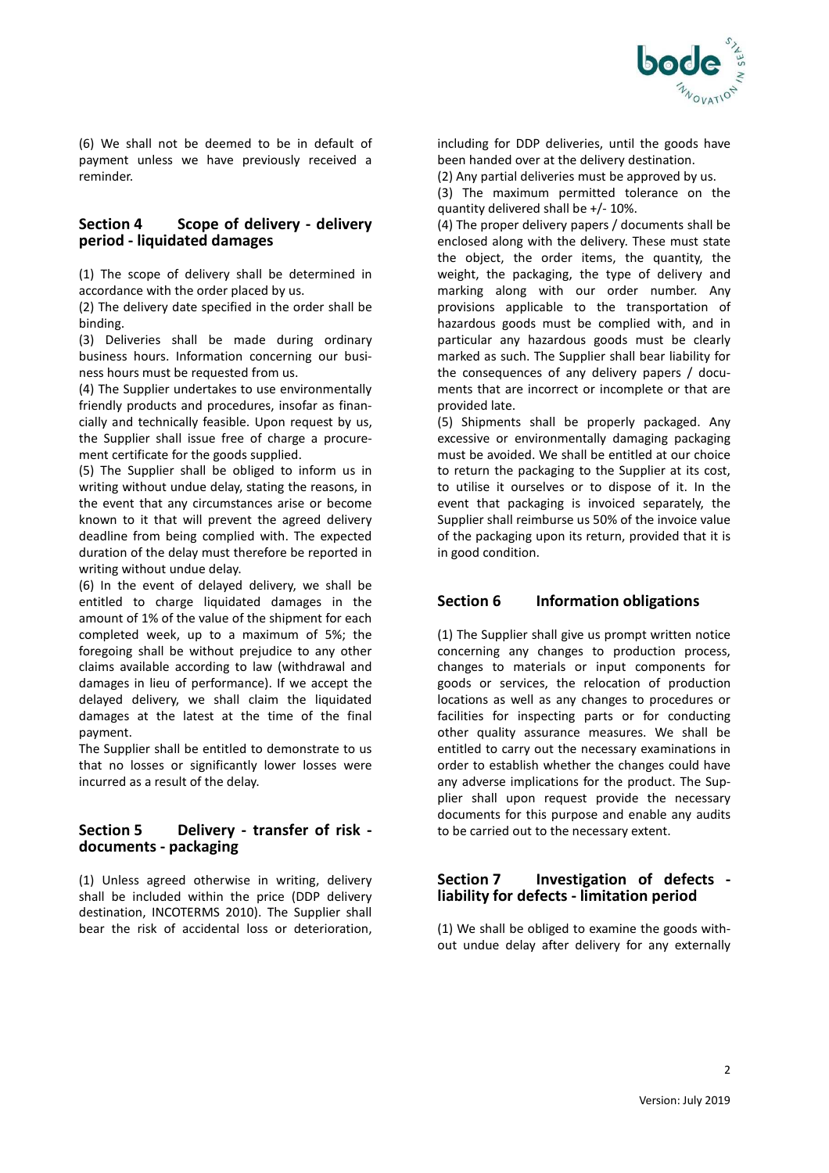

(6) We shall not be deemed to be in default of payment unless we have previously received a reminder.

#### **Section 4 Scope of delivery - delivery period - liquidated damages**

(1) The scope of delivery shall be determined in accordance with the order placed by us.

(2) The delivery date specified in the order shall be binding.

(3) Deliveries shall be made during ordinary business hours. Information concerning our business hours must be requested from us.

(4) The Supplier undertakes to use environmentally friendly products and procedures, insofar as financially and technically feasible. Upon request by us, the Supplier shall issue free of charge a procurement certificate for the goods supplied.

(5) The Supplier shall be obliged to inform us in writing without undue delay, stating the reasons, in the event that any circumstances arise or become known to it that will prevent the agreed delivery deadline from being complied with. The expected duration of the delay must therefore be reported in writing without undue delay.

(6) In the event of delayed delivery, we shall be entitled to charge liquidated damages in the amount of 1% of the value of the shipment for each completed week, up to a maximum of 5%; the foregoing shall be without prejudice to any other claims available according to law (withdrawal and damages in lieu of performance). If we accept the delayed delivery, we shall claim the liquidated damages at the latest at the time of the final payment.

The Supplier shall be entitled to demonstrate to us that no losses or significantly lower losses were incurred as a result of the delay.

## **Section 5 Delivery - transfer of risk documents - packaging**

(1) Unless agreed otherwise in writing, delivery shall be included within the price (DDP delivery destination, INCOTERMS 2010). The Supplier shall bear the risk of accidental loss or deterioration,

including for DDP deliveries, until the goods have been handed over at the delivery destination.

(2) Any partial deliveries must be approved by us.

(3) The maximum permitted tolerance on the quantity delivered shall be +/- 10%.

(4) The proper delivery papers / documents shall be enclosed along with the delivery. These must state the object, the order items, the quantity, the weight, the packaging, the type of delivery and marking along with our order number. Any provisions applicable to the transportation of hazardous goods must be complied with, and in particular any hazardous goods must be clearly marked as such. The Supplier shall bear liability for the consequences of any delivery papers / documents that are incorrect or incomplete or that are provided late.

(5) Shipments shall be properly packaged. Any excessive or environmentally damaging packaging must be avoided. We shall be entitled at our choice to return the packaging to the Supplier at its cost, to utilise it ourselves or to dispose of it. In the event that packaging is invoiced separately, the Supplier shall reimburse us 50% of the invoice value of the packaging upon its return, provided that it is in good condition.

## **Section 6 Information obligations**

(1) The Supplier shall give us prompt written notice concerning any changes to production process, changes to materials or input components for goods or services, the relocation of production locations as well as any changes to procedures or facilities for inspecting parts or for conducting other quality assurance measures. We shall be entitled to carry out the necessary examinations in order to establish whether the changes could have any adverse implications for the product. The Supplier shall upon request provide the necessary documents for this purpose and enable any audits to be carried out to the necessary extent.

#### **Section 7 Investigation of defects liability for defects - limitation period**

(1) We shall be obliged to examine the goods without undue delay after delivery for any externally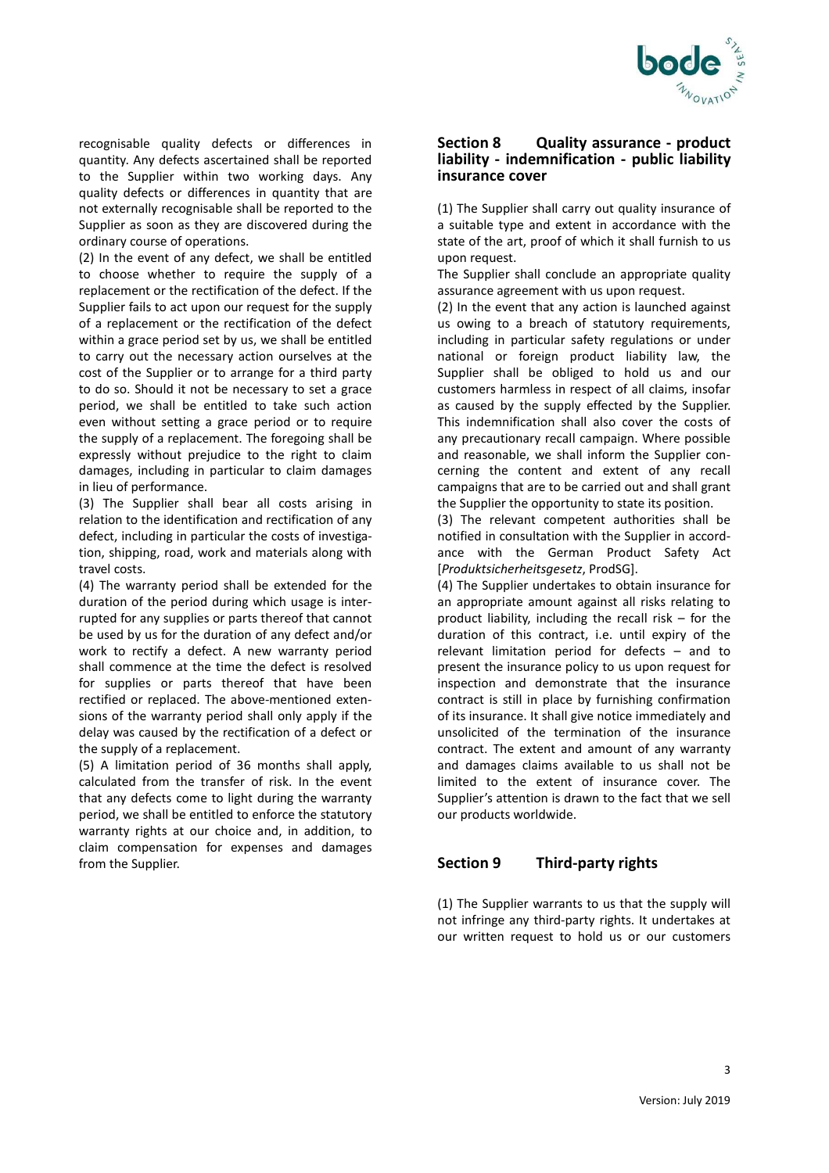

recognisable quality defects or differences in quantity. Any defects ascertained shall be reported to the Supplier within two working days. Any quality defects or differences in quantity that are not externally recognisable shall be reported to the Supplier as soon as they are discovered during the ordinary course of operations.

(2) In the event of any defect, we shall be entitled to choose whether to require the supply of a replacement or the rectification of the defect. If the Supplier fails to act upon our request for the supply of a replacement or the rectification of the defect within a grace period set by us, we shall be entitled to carry out the necessary action ourselves at the cost of the Supplier or to arrange for a third party to do so. Should it not be necessary to set a grace period, we shall be entitled to take such action even without setting a grace period or to require the supply of a replacement. The foregoing shall be expressly without prejudice to the right to claim damages, including in particular to claim damages in lieu of performance.

(3) The Supplier shall bear all costs arising in relation to the identification and rectification of any defect, including in particular the costs of investigation, shipping, road, work and materials along with travel costs.

(4) The warranty period shall be extended for the duration of the period during which usage is interrupted for any supplies or parts thereof that cannot be used by us for the duration of any defect and/or work to rectify a defect. A new warranty period shall commence at the time the defect is resolved for supplies or parts thereof that have been rectified or replaced. The above-mentioned extensions of the warranty period shall only apply if the delay was caused by the rectification of a defect or the supply of a replacement.

(5) A limitation period of 36 months shall apply, calculated from the transfer of risk. In the event that any defects come to light during the warranty period, we shall be entitled to enforce the statutory warranty rights at our choice and, in addition, to claim compensation for expenses and damages from the Supplier.

### **Section 8 Quality assurance - product liability - indemnification - public liability insurance cover**

(1) The Supplier shall carry out quality insurance of a suitable type and extent in accordance with the state of the art, proof of which it shall furnish to us upon request.

The Supplier shall conclude an appropriate quality assurance agreement with us upon request.

(2) In the event that any action is launched against us owing to a breach of statutory requirements, including in particular safety regulations or under national or foreign product liability law, the Supplier shall be obliged to hold us and our customers harmless in respect of all claims, insofar as caused by the supply effected by the Supplier. This indemnification shall also cover the costs of any precautionary recall campaign. Where possible and reasonable, we shall inform the Supplier concerning the content and extent of any recall campaigns that are to be carried out and shall grant the Supplier the opportunity to state its position.

(3) The relevant competent authorities shall be notified in consultation with the Supplier in accordance with the German Product Safety Act [*Produktsicherheitsgesetz*, ProdSG].

(4) The Supplier undertakes to obtain insurance for an appropriate amount against all risks relating to product liability, including the recall risk – for the duration of this contract, i.e. until expiry of the relevant limitation period for defects – and to present the insurance policy to us upon request for inspection and demonstrate that the insurance contract is still in place by furnishing confirmation of its insurance. It shall give notice immediately and unsolicited of the termination of the insurance contract. The extent and amount of any warranty and damages claims available to us shall not be limited to the extent of insurance cover. The Supplier's attention is drawn to the fact that we sell our products worldwide.

## **Section 9 Third-party rights**

(1) The Supplier warrants to us that the supply will not infringe any third-party rights. It undertakes at our written request to hold us or our customers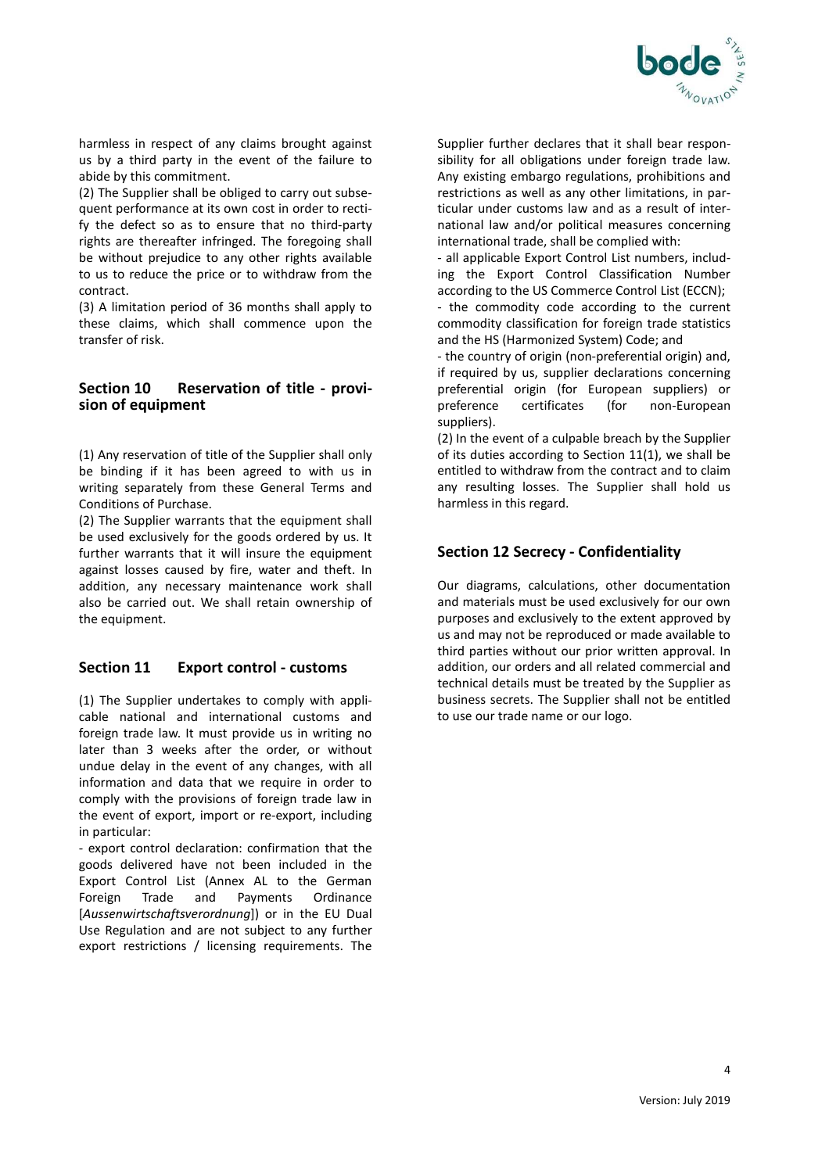

harmless in respect of any claims brought against us by a third party in the event of the failure to abide by this commitment.

(2) The Supplier shall be obliged to carry out subsequent performance at its own cost in order to rectify the defect so as to ensure that no third-party rights are thereafter infringed. The foregoing shall be without prejudice to any other rights available to us to reduce the price or to withdraw from the contract.

(3) A limitation period of 36 months shall apply to these claims, which shall commence upon the transfer of risk.

#### **Section 10 Reservation of title - provision of equipment**

(1) Any reservation of title of the Supplier shall only be binding if it has been agreed to with us in writing separately from these General Terms and Conditions of Purchase.

(2) The Supplier warrants that the equipment shall be used exclusively for the goods ordered by us. It further warrants that it will insure the equipment against losses caused by fire, water and theft. In addition, any necessary maintenance work shall also be carried out. We shall retain ownership of the equipment.

## **Section 11 Export control - customs**

(1) The Supplier undertakes to comply with applicable national and international customs and foreign trade law. It must provide us in writing no later than 3 weeks after the order, or without undue delay in the event of any changes, with all information and data that we require in order to comply with the provisions of foreign trade law in the event of export, import or re-export, including in particular:

- export control declaration: confirmation that the goods delivered have not been included in the Export Control List (Annex AL to the German Foreign Trade and Payments Ordinance [*Aussenwirtschaftsverordnung*]) or in the EU Dual Use Regulation and are not subject to any further export restrictions / licensing requirements. The Supplier further declares that it shall bear responsibility for all obligations under foreign trade law. Any existing embargo regulations, prohibitions and restrictions as well as any other limitations, in particular under customs law and as a result of international law and/or political measures concerning international trade, shall be complied with:

- all applicable Export Control List numbers, including the Export Control Classification Number according to the US Commerce Control List (ECCN); - the commodity code according to the current commodity classification for foreign trade statistics and the HS (Harmonized System) Code; and

- the country of origin (non-preferential origin) and, if required by us, supplier declarations concerning preferential origin (for European suppliers) or preference certificates (for non-European suppliers).

(2) In the event of a culpable breach by the Supplier of its duties according to Section 11(1), we shall be entitled to withdraw from the contract and to claim any resulting losses. The Supplier shall hold us harmless in this regard.

# **Section 12 Secrecy - Confidentiality**

Our diagrams, calculations, other documentation and materials must be used exclusively for our own purposes and exclusively to the extent approved by us and may not be reproduced or made available to third parties without our prior written approval. In addition, our orders and all related commercial and technical details must be treated by the Supplier as business secrets. The Supplier shall not be entitled to use our trade name or our logo.